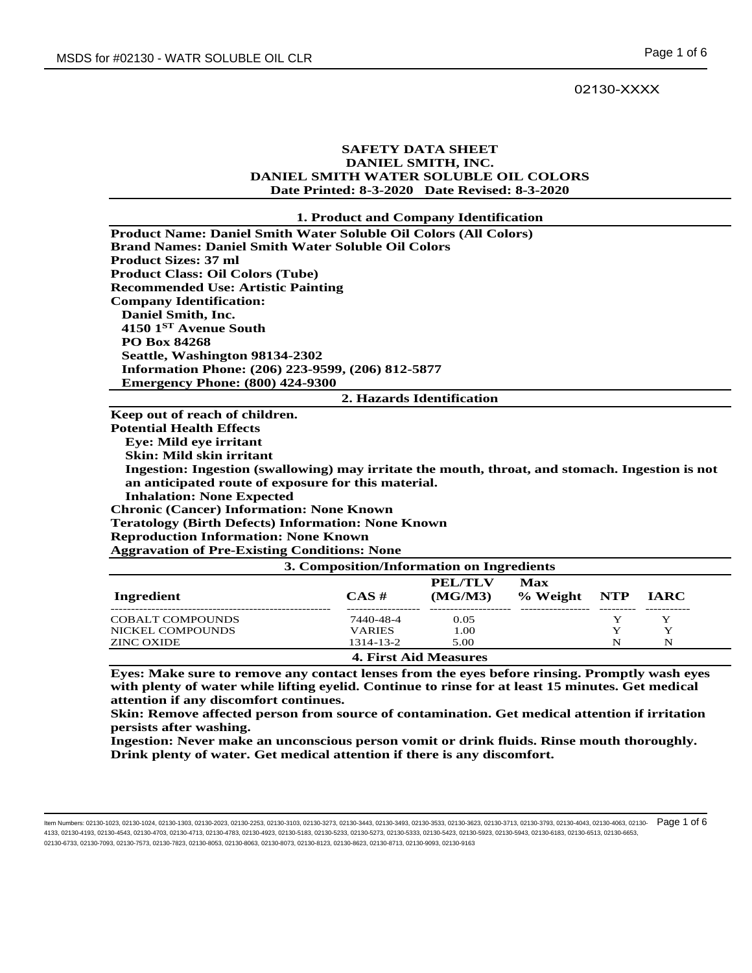### 02130-XXXX

# **SAFETY DATA SHEET DANIEL SMITH, INC. DANIEL SMITH WATER SOLUBLE OIL COLORS Date Printed: 8-3-2020 Date Revised: 8-3-2020**

#### **1. Product and Company Identification**

| <b>Product Name: Daniel Smith Water Soluble Oil Colors (All Colors)</b> |
|-------------------------------------------------------------------------|
| <b>Brand Names: Daniel Smith Water Soluble Oil Colors</b>               |
| <b>Product Sizes: 37 ml</b>                                             |
| <b>Product Class: Oil Colors (Tube)</b>                                 |
| <b>Recommended Use: Artistic Painting</b>                               |
| <b>Company Identification:</b>                                          |
| Daniel Smith, Inc.                                                      |
| 4150 $1ST$ Avenue South                                                 |
| <b>PO Box 84268</b>                                                     |
| Seattle, Washington 98134-2302                                          |
| Information Phone: (206) 223-9599, (206) 812-5877                       |
| <b>Emergency Phone: (800) 424-9300</b>                                  |
| 2. Hazards Identification                                               |
| Keep out of reach of children.                                          |
| <b>Potential Health Effects</b>                                         |
| <b>Eve: Mild eve irritant</b>                                           |
|                                                                         |

 **Skin: Mild skin irritant**

 **Ingestion: Ingestion (swallowing) may irritate the mouth, throat, and stomach. Ingestion is not an anticipated route of exposure for this material.**

 **Inhalation: None Expected**

**Chronic (Cancer) Information: None Known** 

**Teratology (Birth Defects) Information: None Known**

**Reproduction Information: None Known**

**Aggravation of Pre-Existing Conditions: None**

| 3. Composition/Information on Ingredients |               |                              |                                 |   |         |  |
|-------------------------------------------|---------------|------------------------------|---------------------------------|---|---------|--|
| Ingredient                                | $CAS \#$      | <b>PEL/TLV</b><br>(MG/M3)    | <b>Max</b><br>% Weight NTP IARC |   |         |  |
| <b>COBALT COMPOUNDS</b>                   | 7440-48-4     | 0.05                         |                                 |   | Y       |  |
| NICKEL COMPOUNDS                          | <b>VARIES</b> | 1.00                         |                                 | v | $\bf v$ |  |
| ZINC OXIDE                                | 1314-13-2     | 5.00                         |                                 | N | N       |  |
|                                           |               | <b>4. First Aid Measures</b> |                                 |   |         |  |

**Eyes: Make sure to remove any contact lenses from the eyes before rinsing. Promptly wash eyes with plenty of water while lifting eyelid. Continue to rinse for at least 15 minutes. Get medical attention if any discomfort continues.**

**Skin: Remove affected person from source of contamination. Get medical attention if irritation persists after washing.**

**Ingestion: Never make an unconscious person vomit or drink fluids. Rinse mouth thoroughly. Drink plenty of water. Get medical attention if there is any discomfort.**

ltem Numbers: 02130-1023, 02130-1024, 02130-1303, 02130-2023, 02130-2253, 02130-3103, 02130-343, 02130-343, 02130-353, 02130-3623, 02130-3713, 02130-3713, 02130-3793, 02130-4043, 02130-4043, 02130-4063, 02130-4043, 02130-4 4133, 02130-4193, 02130-4543, 02130-4703, 02130-4713, 02130-4783, 02130-4923, 02130-5183, 02130-5233, 02130-5273, 02130-5333, 02130-5423, 02130-5923, 02130-5943, 02130-6183, 02130-6513, 02130-6653, 02130-6733, 02130-7093, 02130-7573, 02130-7823, 02130-8053, 02130-8063, 02130-8073, 02130-8123, 02130-8623, 02130-8713, 02130-9093, 02130-9163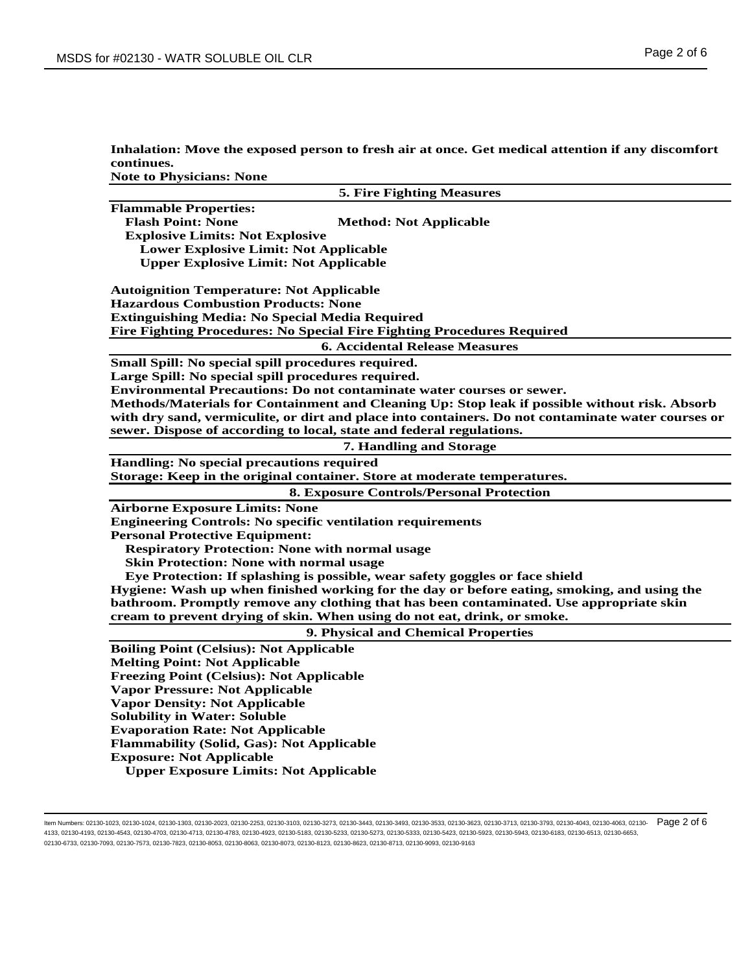| Inhalation: Move the exposed person to fresh air at once. Get medical attention if any discomfort |
|---------------------------------------------------------------------------------------------------|
| continues.                                                                                        |
| _____                                                                                             |

**Note to Physicians: None**

| <b>5. Fire Fighting Measures</b>                                                                   |
|----------------------------------------------------------------------------------------------------|
| <b>Flammable Properties:</b>                                                                       |
| <b>Flash Point: None</b><br><b>Method: Not Applicable</b>                                          |
| <b>Explosive Limits: Not Explosive</b>                                                             |
| <b>Lower Explosive Limit: Not Applicable</b>                                                       |
| <b>Upper Explosive Limit: Not Applicable</b>                                                       |
|                                                                                                    |
| <b>Autoignition Temperature: Not Applicable</b>                                                    |
| <b>Hazardous Combustion Products: None</b>                                                         |
| <b>Extinguishing Media: No Special Media Required</b>                                              |
| Fire Fighting Procedures: No Special Fire Fighting Procedures Required                             |
| <b>6. Accidental Release Measures</b>                                                              |
| Small Spill: No special spill procedures required.                                                 |
| Large Spill: No special spill procedures required.                                                 |
| Environmental Precautions: Do not contaminate water courses or sewer.                              |
| Methods/Materials for Containment and Cleaning Up: Stop leak if possible without risk. Absorb      |
| with dry sand, vermiculite, or dirt and place into containers. Do not contaminate water courses or |
| sewer. Dispose of according to local, state and federal regulations.                               |
| 7. Handling and Storage                                                                            |
| Handling: No special precautions required                                                          |
| Storage: Keep in the original container. Store at moderate temperatures.                           |
| <b>8. Exposure Controls/Personal Protection</b>                                                    |
| <b>Airborne Exposure Limits: None</b>                                                              |
| <b>Engineering Controls: No specific ventilation requirements</b>                                  |
| <b>Personal Protective Equipment:</b>                                                              |
| <b>Respiratory Protection: None with normal usage</b>                                              |
| <b>Skin Protection: None with normal usage</b>                                                     |
| Eye Protection: If splashing is possible, wear safety goggles or face shield                       |
| Hygiene: Wash up when finished working for the day or before eating, smoking, and using the        |
| bathroom. Promptly remove any clothing that has been contaminated. Use appropriate skin            |
| cream to prevent drying of skin. When using do not eat, drink, or smoke.                           |
| 9. Physical and Chemical Properties                                                                |
| <b>Boiling Point (Celsius): Not Applicable</b>                                                     |
| <b>Melting Point: Not Applicable</b>                                                               |
| <b>Freezing Point (Celsius): Not Applicable</b>                                                    |
| <b>Vapor Pressure: Not Applicable</b>                                                              |
| <b>Vapor Density: Not Applicable</b>                                                               |
| <b>Solubility in Water: Soluble</b>                                                                |
| <b>Evaporation Rate: Not Applicable</b>                                                            |
| <b>Flammability (Solid, Gas): Not Applicable</b>                                                   |
| <b>Exposure: Not Applicable</b>                                                                    |
| <b>Upper Exposure Limits: Not Applicable</b>                                                       |
|                                                                                                    |

ltem Numbers: 02130-1023, 02130-1024, 02130-1303, 02130-2023, 02130-2253, 02130-3103, 02130-343, 02130-343, 02130-353, 02130-353, 02130-3713, 02130-3713, 02130-3793, 02130-4043, 02130-4063, 02130-4063, 02130-4043, 02130-40 4133, 02130-4193, 02130-4543, 02130-4703, 02130-4713, 02130-4783, 02130-4923, 02130-5183, 02130-5233, 02130-5273, 02130-5333, 02130-5423, 02130-5923, 02130-5943, 02130-6183, 02130-6513, 02130-6653, 02130-6733, 02130-7093, 02130-7573, 02130-7823, 02130-8053, 02130-8063, 02130-8073, 02130-8123, 02130-8623, 02130-8713, 02130-9093, 02130-9163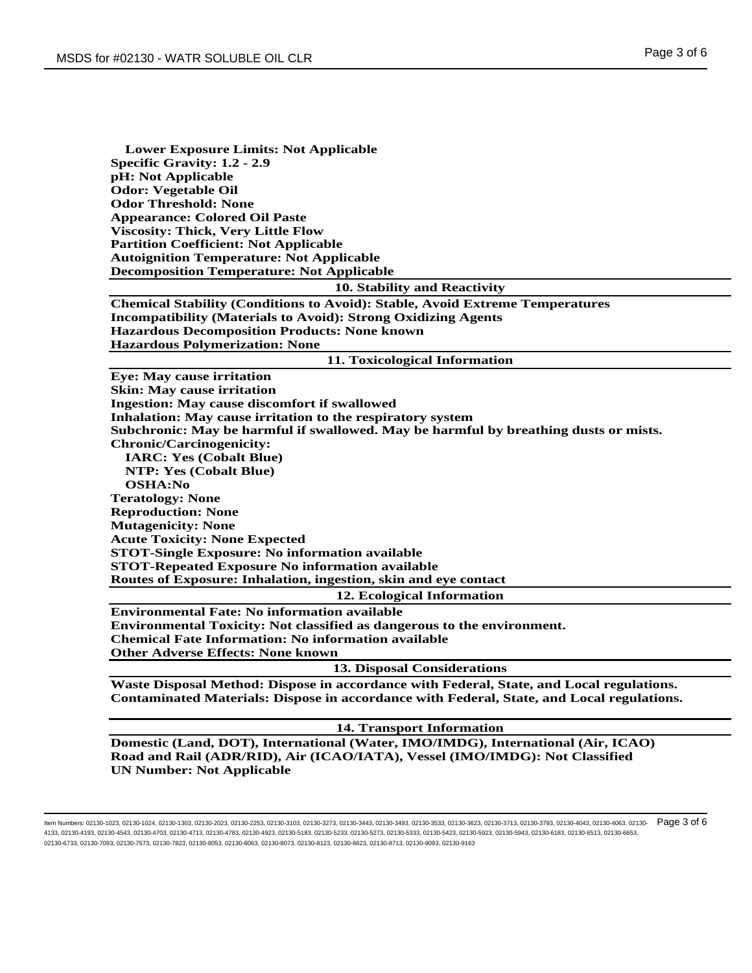| <b>Lower Exposure Limits: Not Applicable</b>                                                     |
|--------------------------------------------------------------------------------------------------|
| <b>Specific Gravity: 1.2 - 2.9</b>                                                               |
| pH: Not Applicable                                                                               |
| <b>Odor: Vegetable Oil</b>                                                                       |
| <b>Odor Threshold: None</b>                                                                      |
| <b>Appearance: Colored Oil Paste</b>                                                             |
| <b>Viscosity: Thick, Very Little Flow</b>                                                        |
| <b>Partition Coefficient: Not Applicable</b>                                                     |
| <b>Autoignition Temperature: Not Applicable</b>                                                  |
| <b>Decomposition Temperature: Not Applicable</b>                                                 |
| 10. Stability and Reactivity                                                                     |
| <b>Chemical Stability (Conditions to Avoid): Stable, Avoid Extreme Temperatures</b>              |
| <b>Incompatibility (Materials to Avoid): Strong Oxidizing Agents</b>                             |
| <b>Hazardous Decomposition Products: None known</b>                                              |
| <b>Hazardous Polymerization: None</b>                                                            |
| 11. Toxicological Information                                                                    |
| <b>Eye: May cause irritation</b>                                                                 |
| <b>Skin: May cause irritation</b>                                                                |
| <b>Ingestion: May cause discomfort if swallowed</b>                                              |
| Inhalation: May cause irritation to the respiratory system                                       |
| Subchronic: May be harmful if swallowed. May be harmful by breathing dusts or mists.             |
| <b>Chronic/Carcinogenicity:</b>                                                                  |
| <b>IARC: Yes (Cobalt Blue)</b>                                                                   |
| <b>NTP: Yes (Cobalt Blue)</b>                                                                    |
| <b>OSHA:No</b>                                                                                   |
| <b>Teratology: None</b>                                                                          |
| <b>Reproduction: None</b>                                                                        |
| <b>Mutagenicity: None</b>                                                                        |
| <b>Acute Toxicity: None Expected</b>                                                             |
| <b>STOT-Single Exposure: No information available</b>                                            |
| <b>STOT-Repeated Exposure No information available</b>                                           |
| Routes of Exposure: Inhalation, ingestion, skin and eye contact                                  |
| 12. Ecological Information                                                                       |
| <b>Environmental Fate: No information available</b>                                              |
| <b>Environmental Toxicity: Not classified as dangerous to the environment.</b>                   |
| <b>Chemical Fate Information: No information available</b>                                       |
| <b>Other Adverse Effects: None known</b>                                                         |
| <b>13. Disposal Considerations</b>                                                               |
| Waste Disposal Method: Dispose in accordance with Federal, State, and Local regulations.         |
| <b>Contaminated Materials: Dispose in accordance with Federal, State, and Local regulations.</b> |
| 14. Transport Information                                                                        |
| Domestic (Land, DOT), International (Water, IMO/IMDG), International (Air, ICAO)                 |

**Road and Rail (ADR/RID), Air (ICAO/IATA), Vessel (IMO/IMDG): Not Classified UN Number: Not Applicable**

ltem Numbers: 02130-1023, 02130-1024, 02130-1303, 02130-2023, 02130-2253, 02130-3103, 02130-343, 02130-343, 02130-353, 02130-353, 02130-3713, 02130-3713, 02130-3793, 02130-4043, 02130-4043, 02130-4063, 02130-4043, 02130-40 4133, 02130-4193, 02130-4543, 02130-4703, 02130-4713, 02130-4783, 02130-4923, 02130-5183, 02130-5233, 02130-5273, 02130-5333, 02130-5423, 02130-5923, 02130-5943, 02130-6183, 02130-6513, 02130-6653, 02130-6733, 02130-7093, 02130-7573, 02130-7823, 02130-8053, 02130-8063, 02130-8073, 02130-8123, 02130-8623, 02130-8713, 02130-9093, 02130-9163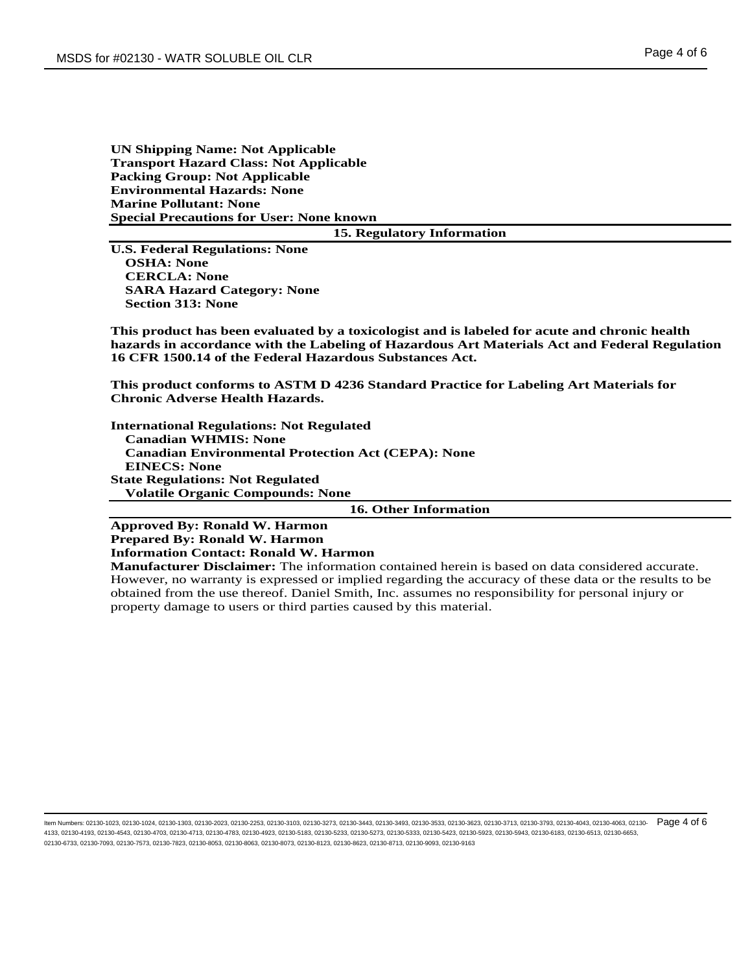# **UN Shipping Name: Not Applicable Transport Hazard Class: Not Applicable Packing Group: Not Applicable Environmental Hazards: None Marine Pollutant: None Special Precautions for User: None known**

#### **15. Regulatory Information**

**U.S. Federal Regulations: None OSHA: None CERCLA: None SARA Hazard Category: None Section 313: None**

**This product has been evaluated by a toxicologist and is labeled for acute and chronic health hazards in accordance with the Labeling of Hazardous Art Materials Act and Federal Regulation 16 CFR 1500.14 of the Federal Hazardous Substances Act.**

**This product conforms to ASTM D 4236 Standard Practice for Labeling Art Materials for Chronic Adverse Health Hazards.**

**International Regulations: Not Regulated Canadian WHMIS: None Canadian Environmental Protection Act (CEPA): None EINECS: None State Regulations: Not Regulated Volatile Organic Compounds: None**

### **16. Other Information**

**Approved By: Ronald W. Harmon Prepared By: Ronald W. Harmon Information Contact: Ronald W. Harmon**

**Manufacturer Disclaimer:** The information contained herein is based on data considered accurate. However, no warranty is expressed or implied regarding the accuracy of these data or the results to be obtained from the use thereof. Daniel Smith, Inc. assumes no responsibility for personal injury or property damage to users or third parties caused by this material.

ltem Numbers: 02130-1023, 02130-1024, 02130-1303, 02130-2023, 02130-2253, 02130-3103, 02130-343, 02130-343, 02130-353, 02130-353, 02130-3723, 02130-3713, 02130-3793, 02130-3404, 02130-4043, 02130-4063, 02130-4063, 02130-40 4133, 02130-4193, 02130-4543, 02130-4703, 02130-4713, 02130-4783, 02130-4923, 02130-5183, 02130-5233, 02130-5273, 02130-5333, 02130-5423, 02130-5923, 02130-5943, 02130-6183, 02130-6513, 02130-6653, 02130-6733, 02130-7093, 02130-7573, 02130-7823, 02130-8053, 02130-8063, 02130-8073, 02130-8123, 02130-8623, 02130-8713, 02130-9093, 02130-9163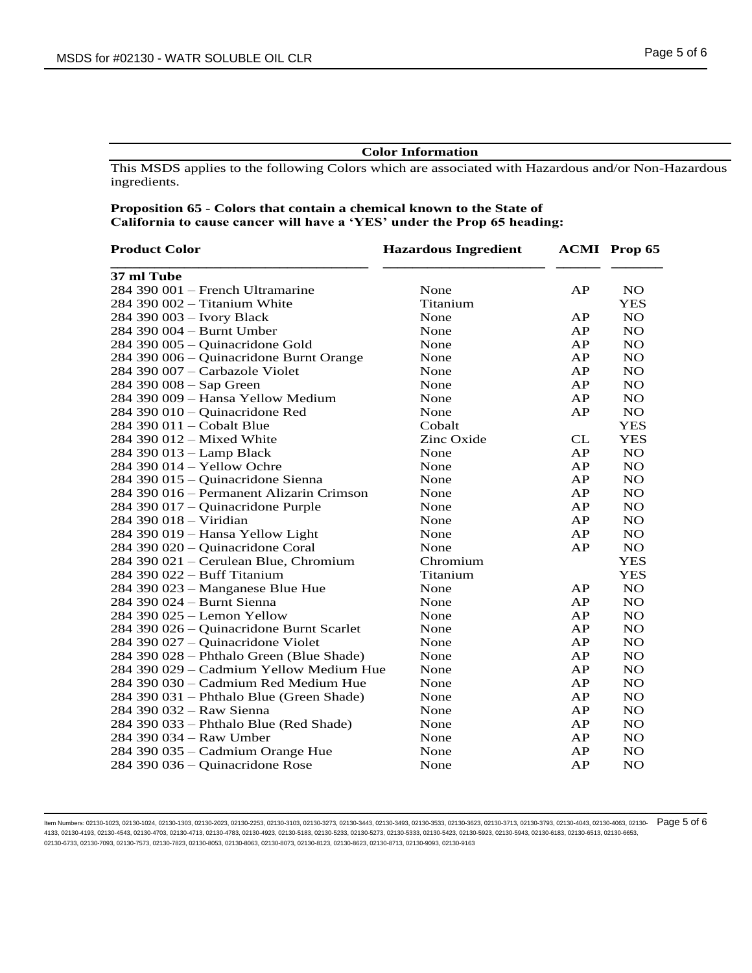## **Color Information**

This MSDS applies to the following Colors which are associated with Hazardous and/or Non-Hazardous ingredients.

# **Proposition 65 - Colors that contain a chemical known to the State of California to cause cancer will have a 'YES' under the Prop 65 heading:**

| <b>Product Color</b>                     | <b>Hazardous Ingredient</b> |    | <b>ACMI</b> Prop 65 |
|------------------------------------------|-----------------------------|----|---------------------|
| 37 ml Tube                               |                             |    |                     |
| 284 390 001 - French Ultramarine         | None                        | AP | <b>NO</b>           |
| 284 390 002 - Titanium White             | Titanium                    |    | <b>YES</b>          |
| 284 390 003 - Ivory Black                | None                        | AP | <b>NO</b>           |
| 284 390 004 - Burnt Umber                | None                        | AP | NO                  |
| 284 390 005 - Quinacridone Gold          | None                        | AP | <b>NO</b>           |
| 284 390 006 - Quinacridone Burnt Orange  | None                        | AP | <b>NO</b>           |
| 284 390 007 – Carbazole Violet           | None                        | AP | <b>NO</b>           |
| 284 390 008 - Sap Green                  | None                        | AP | <b>NO</b>           |
| 284 390 009 - Hansa Yellow Medium        | None                        | AP | <b>NO</b>           |
| 284 390 010 - Quinacridone Red           | None                        | AP | NO                  |
| 284 390 011 – Cobalt Blue                | Cobalt                      |    | <b>YES</b>          |
| 284 390 012 - Mixed White                | Zinc Oxide                  | CL | <b>YES</b>          |
| 284 390 013 - Lamp Black                 | None                        | AP | <b>NO</b>           |
| 284 390 014 - Yellow Ochre               | None                        | AP | <b>NO</b>           |
| 284 390 015 - Quinacridone Sienna        | None                        | AP | <b>NO</b>           |
| 284 390 016 – Permanent Alizarin Crimson | None                        | AP | <b>NO</b>           |
| 284 390 017 - Quinacridone Purple        | None                        | AP | <b>NO</b>           |
| 284 390 018 - Viridian                   | None                        | AP | NO                  |
| 284 390 019 - Hansa Yellow Light         | None                        | AP | <b>NO</b>           |
| 284 390 020 - Quinacridone Coral         | None                        | AP | <b>NO</b>           |
| 284 390 021 - Cerulean Blue, Chromium    | Chromium                    |    | <b>YES</b>          |
| 284 390 022 - Buff Titanium              | Titanium                    |    | <b>YES</b>          |
| 284 390 023 – Manganese Blue Hue         | None                        | AP | <b>NO</b>           |
| 284 390 024 - Burnt Sienna               | None                        | AP | NO                  |
| 284 390 025 - Lemon Yellow               | None                        | AP | <b>NO</b>           |
| 284 390 026 - Quinacridone Burnt Scarlet | None                        | AP | NO                  |
| 284 390 027 - Quinacridone Violet        | None                        | AP | NO                  |
| 284 390 028 - Phthalo Green (Blue Shade) | None                        | AP | <b>NO</b>           |
| 284 390 029 – Cadmium Yellow Medium Hue  | None                        | AP | <b>NO</b>           |
| 284 390 030 – Cadmium Red Medium Hue     | None                        | AP | <b>NO</b>           |
| 284 390 031 - Phthalo Blue (Green Shade) | None                        | AP | NO                  |
| 284 390 032 - Raw Sienna                 | None                        | AP | NO                  |
| 284 390 033 - Phthalo Blue (Red Shade)   | None                        | AP | <b>NO</b>           |
| 284 390 034 – Raw Umber                  | None                        | AP | <b>NO</b>           |
| 284 390 035 - Cadmium Orange Hue         | None                        | AP | <b>NO</b>           |
| 284 390 036 – Quinacridone Rose          | None                        | AP | <b>NO</b>           |

ltem Numbers: 02130-1023, 02130-1024, 02130-1303, 02130-2023, 02130-2253, 02130-3103, 02130-343, 02130-343, 02130-353, 02130-353, 02130-3713, 02130-3713, 02130-3793, 02130-4043, 02130-4063, 02130-4063, 02130-4043, 02130-40 4133, 02130-4193, 02130-4543, 02130-4703, 02130-4713, 02130-4783, 02130-4923, 02130-5183, 02130-5233, 02130-5273, 02130-5333, 02130-5423, 02130-5923, 02130-5943, 02130-6183, 02130-6513, 02130-6653, 02130-6733, 02130-7093, 02130-7573, 02130-7823, 02130-8053, 02130-8063, 02130-8073, 02130-8123, 02130-8623, 02130-8713, 02130-9093, 02130-9163